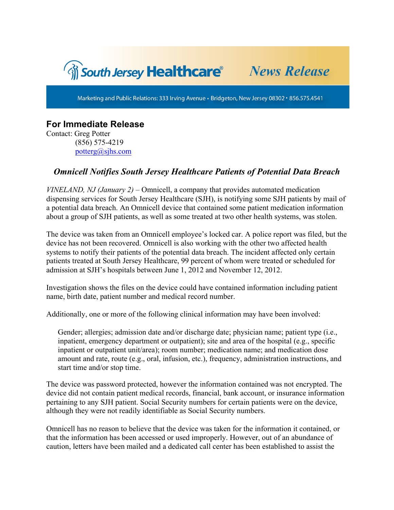

Marketing and Public Relations: 333 Irving Avenue · Bridgeton, New Jersey 08302 · 856.575.4541

## **For Immediate Release**

Contact: Greg Potter (856) 575-4219 potterg@sjhs.com

## *Omnicell Notifies South Jersey Healthcare Patients of Potential Data Breach*

*VINELAND, NJ (January 2)* – Omnicell, a company that provides automated medication dispensing services for South Jersey Healthcare (SJH), is notifying some SJH patients by mail of a potential data breach. An Omnicell device that contained some patient medication information about a group of SJH patients, as well as some treated at two other health systems, was stolen.

The device was taken from an Omnicell employee's locked car. A police report was filed, but the device has not been recovered. Omnicell is also working with the other two affected health systems to notify their patients of the potential data breach. The incident affected only certain patients treated at South Jersey Healthcare, 99 percent of whom were treated or scheduled for admission at SJH's hospitals between June 1, 2012 and November 12, 2012.

Investigation shows the files on the device could have contained information including patient name, birth date, patient number and medical record number.

Additionally, one or more of the following clinical information may have been involved:

Gender; allergies; admission date and/or discharge date; physician name; patient type (i.e., inpatient, emergency department or outpatient); site and area of the hospital (e.g., specific inpatient or outpatient unit/area); room number; medication name; and medication dose amount and rate, route (e.g., oral, infusion, etc.), frequency, administration instructions, and start time and/or stop time.

The device was password protected, however the information contained was not encrypted. The device did not contain patient medical records, financial, bank account, or insurance information pertaining to any SJH patient. Social Security numbers for certain patients were on the device, although they were not readily identifiable as Social Security numbers.

Omnicell has no reason to believe that the device was taken for the information it contained, or that the information has been accessed or used improperly. However, out of an abundance of caution, letters have been mailed and a dedicated call center has been established to assist the